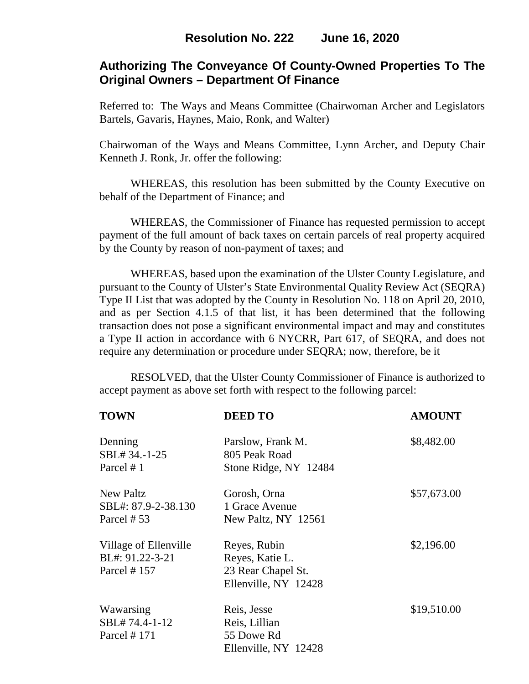# **Authorizing The Conveyance Of County-Owned Properties To The Original Owners – Department Of Finance**

Referred to: The Ways and Means Committee (Chairwoman Archer and Legislators Bartels, Gavaris, Haynes, Maio, Ronk, and Walter)

Chairwoman of the Ways and Means Committee, Lynn Archer, and Deputy Chair Kenneth J. Ronk, Jr. offer the following:

WHEREAS, this resolution has been submitted by the County Executive on behalf of the Department of Finance; and

WHEREAS, the Commissioner of Finance has requested permission to accept payment of the full amount of back taxes on certain parcels of real property acquired by the County by reason of non-payment of taxes; and

WHEREAS, based upon the examination of the Ulster County Legislature, and pursuant to the County of Ulster's State Environmental Quality Review Act (SEQRA) Type II List that was adopted by the County in Resolution No. 118 on April 20, 2010, and as per Section 4.1.5 of that list, it has been determined that the following transaction does not pose a significant environmental impact and may and constitutes a Type II action in accordance with 6 NYCRR, Part 617, of SEQRA, and does not require any determination or procedure under SEQRA; now, therefore, be it

RESOLVED, that the Ulster County Commissioner of Finance is authorized to accept payment as above set forth with respect to the following parcel:

| <b>TOWN</b>                                              | <b>DEED TO</b>                                                                | <b>AMOUNT</b> |
|----------------------------------------------------------|-------------------------------------------------------------------------------|---------------|
| Denning<br>SBL# 34.-1-25<br>Parcel #1                    | Parslow, Frank M.<br>805 Peak Road<br>Stone Ridge, NY 12484                   | \$8,482.00    |
| New Paltz<br>SBL#: 87.9-2-38.130<br>Parcel #53           | Gorosh, Orna<br>1 Grace Avenue<br>New Paltz, NY 12561                         | \$57,673.00   |
| Village of Ellenville<br>BL#: 91.22-3-21<br>Parcel # 157 | Reyes, Rubin<br>Reyes, Katie L.<br>23 Rear Chapel St.<br>Ellenville, NY 12428 | \$2,196.00    |
| Wawarsing<br>SBL#74.4-1-12<br>Parcel # 171               | Reis, Jesse<br>Reis, Lillian<br>55 Dowe Rd<br>Ellenville, NY 12428            | \$19,510.00   |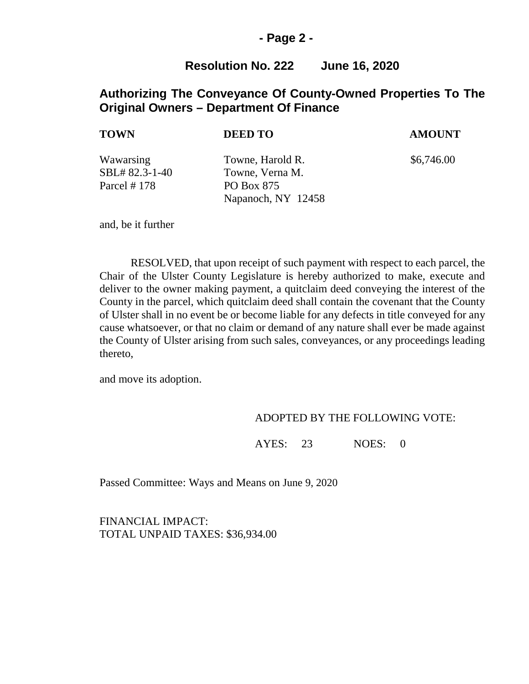### **- Page 2 -**

## **Resolution No. 222 June 16, 2020**

## **Authorizing The Conveyance Of County-Owned Properties To The Original Owners – Department Of Finance**

# Wawarsing Towne, Harold R.  $$6,746.00$ SBL# 82.3-1-40 Towne, Verna M. Parcel # 178 PO Box 875 Napanoch, NY 12458 **TOWN DEED TO AMOUNT**

and, be it further

RESOLVED, that upon receipt of such payment with respect to each parcel, the Chair of the Ulster County Legislature is hereby authorized to make, execute and deliver to the owner making payment, a quitclaim deed conveying the interest of the County in the parcel, which quitclaim deed shall contain the covenant that the County of Ulster shall in no event be or become liable for any defects in title conveyed for any cause whatsoever, or that no claim or demand of any nature shall ever be made against the County of Ulster arising from such sales, conveyances, or any proceedings leading thereto,

and move its adoption.

#### ADOPTED BY THE FOLLOWING VOTE:

AYES: 23 NOES: 0

Passed Committee: Ways and Means on June 9, 2020

FINANCIAL IMPACT: TOTAL UNPAID TAXES: \$36,934.00